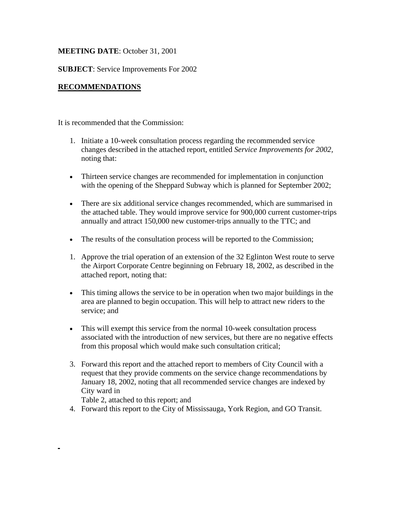# **MEETING DATE**: October 31, 2001

## **SUBJECT**: Service Improvements For 2002

## **RECOMMENDATIONS**

It is recommended that the Commission:

- 1. Initiate a 10-week consultation process regarding the recommended service changes described in the attached report, entitled *Service Improvements for 2002,* noting that:
- Thirteen service changes are recommended for implementation in conjunction with the opening of the Sheppard Subway which is planned for September 2002;
- There are six additional service changes recommended, which are summarised in the attached table. They would improve service for 900,000 current customer-trips annually and attract 150,000 new customer-trips annually to the TTC; and
- The results of the consultation process will be reported to the Commission;
- 1. Approve the trial operation of an extension of the 32 Eglinton West route to serve the Airport Corporate Centre beginning on February 18, 2002, as described in the attached report, noting that:
- This timing allows the service to be in operation when two major buildings in the area are planned to begin occupation. This will help to attract new riders to the service; and
- This will exempt this service from the normal 10-week consultation process associated with the introduction of new services, but there are no negative effects from this proposal which would make such consultation critical;
- 3. Forward this report and the attached report to members of City Council with a request that they provide comments on the service change recommendations by January 18, 2002, noting that all recommended service changes are indexed by City ward in

Table 2, attached to this report; and

4. Forward this report to the City of Mississauga, York Region, and GO Transit.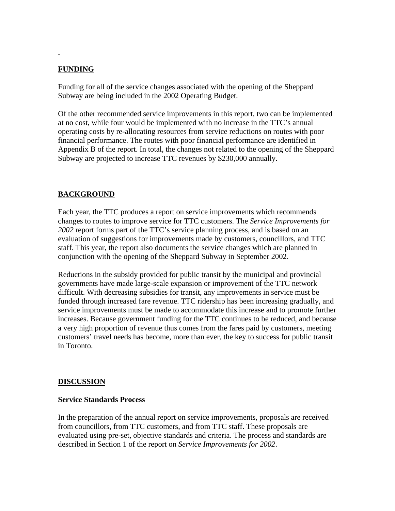# **FUNDING**

Funding for all of the service changes associated with the opening of the Sheppard Subway are being included in the 2002 Operating Budget.

Of the other recommended service improvements in this report, two can be implemented at no cost, while four would be implemented with no increase in the TTC's annual operating costs by re-allocating resources from service reductions on routes with poor financial performance. The routes with poor financial performance are identified in Appendix B of the report. In total, the changes not related to the opening of the Sheppard Subway are projected to increase TTC revenues by \$230,000 annually.

# **BACKGROUND**

Each year, the TTC produces a report on service improvements which recommends changes to routes to improve service for TTC customers. The *Service Improvements for 2002* report forms part of the TTC's service planning process, and is based on an evaluation of suggestions for improvements made by customers, councillors, and TTC staff. This year, the report also documents the service changes which are planned in conjunction with the opening of the Sheppard Subway in September 2002.

Reductions in the subsidy provided for public transit by the municipal and provincial governments have made large-scale expansion or improvement of the TTC network difficult. With decreasing subsidies for transit, any improvements in service must be funded through increased fare revenue. TTC ridership has been increasing gradually, and service improvements must be made to accommodate this increase and to promote further increases. Because government funding for the TTC continues to be reduced, and because a very high proportion of revenue thus comes from the fares paid by customers, meeting customers' travel needs has become, more than ever, the key to success for public transit in Toronto.

# **DISCUSSION**

### **Service Standards Process**

In the preparation of the annual report on service improvements, proposals are received from councillors, from TTC customers, and from TTC staff. These proposals are evaluated using pre-set, objective standards and criteria. The process and standards are described in Section 1 of the report on *Service Improvements for 2002*.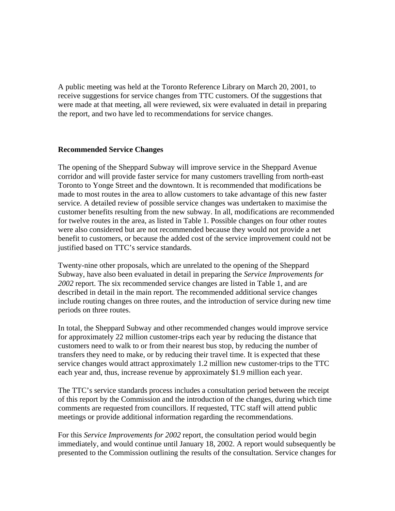A public meeting was held at the Toronto Reference Library on March 20, 2001, to receive suggestions for service changes from TTC customers. Of the suggestions that were made at that meeting, all were reviewed, six were evaluated in detail in preparing the report, and two have led to recommendations for service changes.

### **Recommended Service Changes**

The opening of the Sheppard Subway will improve service in the Sheppard Avenue corridor and will provide faster service for many customers travelling from north-east Toronto to Yonge Street and the downtown. It is recommended that modifications be made to most routes in the area to allow customers to take advantage of this new faster service. A detailed review of possible service changes was undertaken to maximise the customer benefits resulting from the new subway. In all, modifications are recommended for twelve routes in the area, as listed in Table 1. Possible changes on four other routes were also considered but are not recommended because they would not provide a net benefit to customers, or because the added cost of the service improvement could not be justified based on TTC's service standards.

Twenty-nine other proposals, which are unrelated to the opening of the Sheppard Subway, have also been evaluated in detail in preparing the *Service Improvements for 2002* report. The six recommended service changes are listed in Table 1, and are described in detail in the main report. The recommended additional service changes include routing changes on three routes, and the introduction of service during new time periods on three routes.

In total, the Sheppard Subway and other recommended changes would improve service for approximately 22 million customer-trips each year by reducing the distance that customers need to walk to or from their nearest bus stop, by reducing the number of transfers they need to make, or by reducing their travel time. It is expected that these service changes would attract approximately 1.2 million new customer-trips to the TTC each year and, thus, increase revenue by approximately \$1.9 million each year.

The TTC's service standards process includes a consultation period between the receipt of this report by the Commission and the introduction of the changes, during which time comments are requested from councillors. If requested, TTC staff will attend public meetings or provide additional information regarding the recommendations.

For this *Service Improvements for 2002* report, the consultation period would begin immediately, and would continue until January 18, 2002. A report would subsequently be presented to the Commission outlining the results of the consultation. Service changes for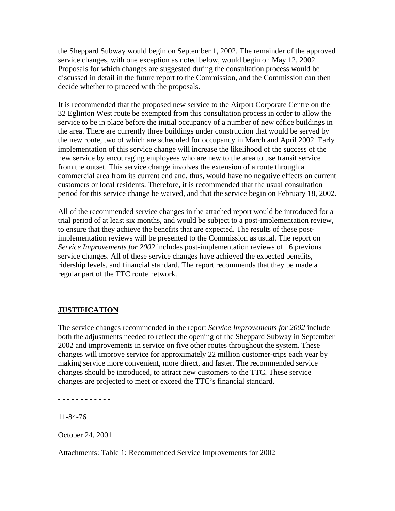the Sheppard Subway would begin on September 1, 2002. The remainder of the approved service changes, with one exception as noted below, would begin on May 12, 2002. Proposals for which changes are suggested during the consultation process would be discussed in detail in the future report to the Commission, and the Commission can then decide whether to proceed with the proposals.

It is recommended that the proposed new service to the Airport Corporate Centre on the 32 Eglinton West route be exempted from this consultation process in order to allow the service to be in place before the initial occupancy of a number of new office buildings in the area. There are currently three buildings under construction that would be served by the new route, two of which are scheduled for occupancy in March and April 2002. Early implementation of this service change will increase the likelihood of the success of the new service by encouraging employees who are new to the area to use transit service from the outset. This service change involves the extension of a route through a commercial area from its current end and, thus, would have no negative effects on current customers or local residents. Therefore, it is recommended that the usual consultation period for this service change be waived, and that the service begin on February 18, 2002.

All of the recommended service changes in the attached report would be introduced for a trial period of at least six months, and would be subject to a post-implementation review, to ensure that they achieve the benefits that are expected. The results of these postimplementation reviews will be presented to the Commission as usual. The report on *Service Improvements for 2002* includes post-implementation reviews of 16 previous service changes. All of these service changes have achieved the expected benefits, ridership levels, and financial standard. The report recommends that they be made a regular part of the TTC route network.

# **JUSTIFICATION**

The service changes recommended in the report *Service Improvements for 2002* include both the adjustments needed to reflect the opening of the Sheppard Subway in September 2002 and improvements in service on five other routes throughout the system. These changes will improve service for approximately 22 million customer-trips each year by making service more convenient, more direct, and faster. The recommended service changes should be introduced, to attract new customers to the TTC. These service changes are projected to meet or exceed the TTC's financial standard.

- - - - - - - - - - - -

11-84-76

October 24, 2001

Attachments: Table 1: Recommended Service Improvements for 2002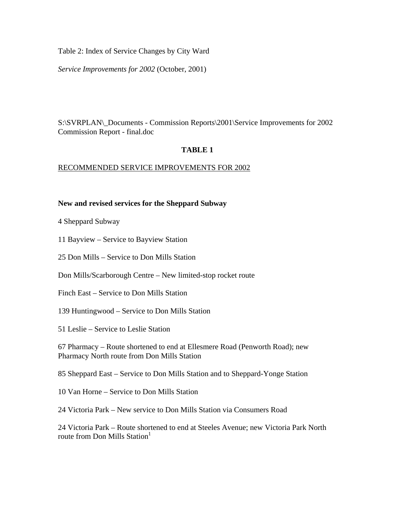Table 2: Index of Service Changes by City Ward

*Service Improvements for 2002* (October, 2001)

S:\SVRPLAN\\_Documents - Commission Reports\2001\Service Improvements for 2002 Commission Report - final.doc

# **TABLE 1**

## RECOMMENDED SERVICE IMPROVEMENTS FOR 2002

## **New and revised services for the Sheppard Subway**

4 Sheppard Subway

11 Bayview – Service to Bayview Station

25 Don Mills – Service to Don Mills Station

Don Mills/Scarborough Centre – New limited-stop rocket route

Finch East – Service to Don Mills Station

139 Huntingwood – Service to Don Mills Station

51 Leslie – Service to Leslie Station

67 Pharmacy – Route shortened to end at Ellesmere Road (Penworth Road); new Pharmacy North route from Don Mills Station

85 Sheppard East – Service to Don Mills Station and to Sheppard-Yonge Station

10 Van Horne – Service to Don Mills Station

24 Victoria Park – New service to Don Mills Station via Consumers Road

24 Victoria Park – Route shortened to end at Steeles Avenue; new Victoria Park North route from Don Mills Station $<sup>1</sup>$ </sup>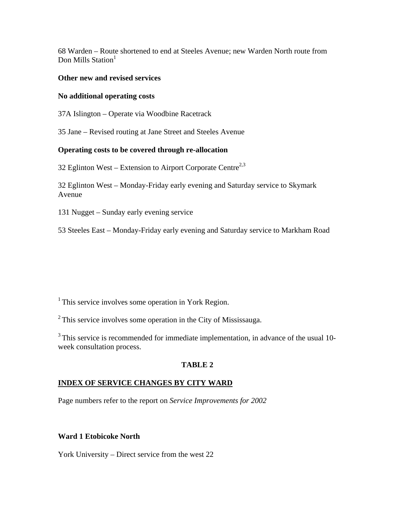68 Warden – Route shortened to end at Steeles Avenue; new Warden North route from Don Mills Station<sup>1</sup>

### **Other new and revised services**

### **No additional operating costs**

37A Islington – Operate via Woodbine Racetrack

35 Jane – Revised routing at Jane Street and Steeles Avenue

## **Operating costs to be covered through re-allocation**

32 Eglinton West – Extension to Airport Corporate Centre<sup>2,3</sup>

32 Eglinton West – Monday-Friday early evening and Saturday service to Skymark Avenue

131 Nugget – Sunday early evening service

53 Steeles East – Monday-Friday early evening and Saturday service to Markham Road

 $1$ <sup>1</sup> This service involves some operation in York Region.

2 This service involves some operation in the City of Mississauga.

<sup>3</sup> This service is recommended for immediate implementation, in advance of the usual 10week consultation process.

# **TABLE 2**

# **INDEX OF SERVICE CHANGES BY CITY WARD**

Page numbers refer to the report on *Service Improvements for 2002* 

# **Ward 1 Etobicoke North**

York University – Direct service from the west 22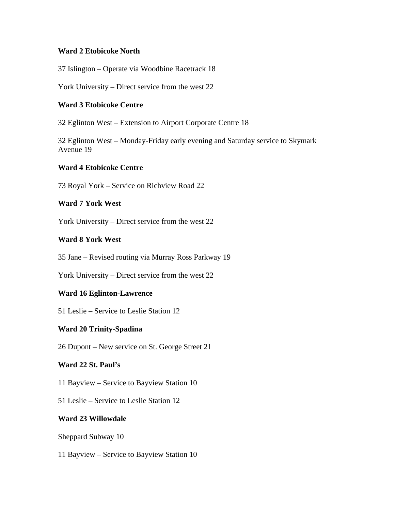### **Ward 2 Etobicoke North**

37 Islington – Operate via Woodbine Racetrack 18

York University – Direct service from the west 22

## **Ward 3 Etobicoke Centre**

32 Eglinton West – Extension to Airport Corporate Centre 18

32 Eglinton West – Monday-Friday early evening and Saturday service to Skymark Avenue 19

## **Ward 4 Etobicoke Centre**

73 Royal York – Service on Richview Road 22

## **Ward 7 York West**

York University – Direct service from the west 22

## **Ward 8 York West**

35 Jane – Revised routing via Murray Ross Parkway 19

York University – Direct service from the west 22

# **Ward 16 Eglinton-Lawrence**

51 Leslie – Service to Leslie Station 12

# **Ward 20 Trinity-Spadina**

26 Dupont – New service on St. George Street 21

# **Ward 22 St. Paul's**

11 Bayview – Service to Bayview Station 10

51 Leslie – Service to Leslie Station 12

# **Ward 23 Willowdale**

Sheppard Subway 10

11 Bayview – Service to Bayview Station 10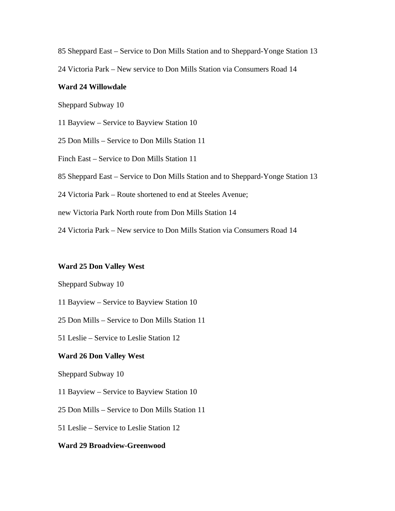85 Sheppard East – Service to Don Mills Station and to Sheppard-Yonge Station 13

24 Victoria Park – New service to Don Mills Station via Consumers Road 14

### **Ward 24 Willowdale**

Sheppard Subway 10

11 Bayview – Service to Bayview Station 10

25 Don Mills – Service to Don Mills Station 11

Finch East – Service to Don Mills Station 11

85 Sheppard East – Service to Don Mills Station and to Sheppard-Yonge Station 13

24 Victoria Park – Route shortened to end at Steeles Avenue;

new Victoria Park North route from Don Mills Station 14

24 Victoria Park – New service to Don Mills Station via Consumers Road 14

### **Ward 25 Don Valley West**

Sheppard Subway 10

11 Bayview – Service to Bayview Station 10

25 Don Mills – Service to Don Mills Station 11

51 Leslie – Service to Leslie Station 12

#### **Ward 26 Don Valley West**

Sheppard Subway 10

11 Bayview – Service to Bayview Station 10

25 Don Mills – Service to Don Mills Station 11

51 Leslie – Service to Leslie Station 12

### **Ward 29 Broadview-Greenwood**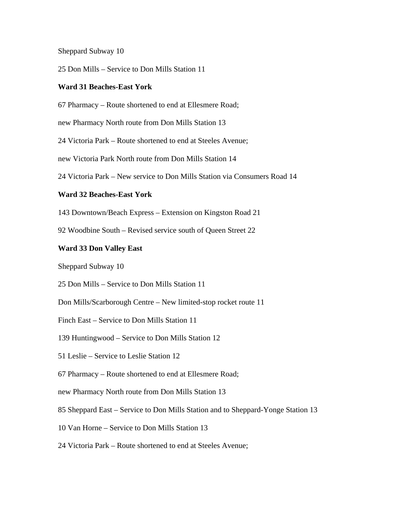Sheppard Subway 10

25 Don Mills – Service to Don Mills Station 11

#### **Ward 31 Beaches-East York**

67 Pharmacy – Route shortened to end at Ellesmere Road;

new Pharmacy North route from Don Mills Station 13

24 Victoria Park – Route shortened to end at Steeles Avenue;

new Victoria Park North route from Don Mills Station 14

24 Victoria Park – New service to Don Mills Station via Consumers Road 14

#### **Ward 32 Beaches-East York**

143 Downtown/Beach Express – Extension on Kingston Road 21

92 Woodbine South – Revised service south of Queen Street 22

#### **Ward 33 Don Valley East**

Sheppard Subway 10

25 Don Mills – Service to Don Mills Station 11

Don Mills/Scarborough Centre – New limited-stop rocket route 11

Finch East – Service to Don Mills Station 11

139 Huntingwood – Service to Don Mills Station 12

51 Leslie – Service to Leslie Station 12

67 Pharmacy – Route shortened to end at Ellesmere Road;

new Pharmacy North route from Don Mills Station 13

85 Sheppard East – Service to Don Mills Station and to Sheppard-Yonge Station 13

10 Van Horne – Service to Don Mills Station 13

24 Victoria Park – Route shortened to end at Steeles Avenue;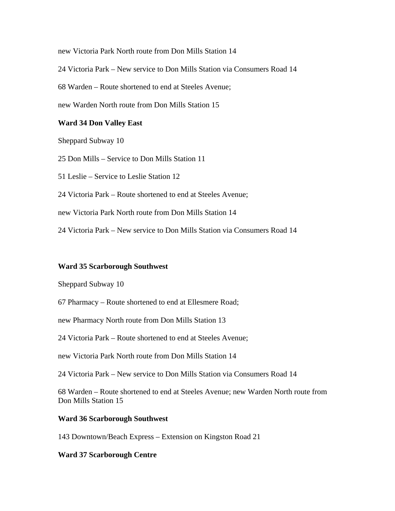new Victoria Park North route from Don Mills Station 14

24 Victoria Park – New service to Don Mills Station via Consumers Road 14

68 Warden – Route shortened to end at Steeles Avenue;

new Warden North route from Don Mills Station 15

### **Ward 34 Don Valley East**

Sheppard Subway 10

25 Don Mills – Service to Don Mills Station 11

51 Leslie – Service to Leslie Station 12

24 Victoria Park – Route shortened to end at Steeles Avenue;

new Victoria Park North route from Don Mills Station 14

24 Victoria Park – New service to Don Mills Station via Consumers Road 14

#### **Ward 35 Scarborough Southwest**

Sheppard Subway 10

67 Pharmacy – Route shortened to end at Ellesmere Road;

new Pharmacy North route from Don Mills Station 13

24 Victoria Park – Route shortened to end at Steeles Avenue;

new Victoria Park North route from Don Mills Station 14

24 Victoria Park – New service to Don Mills Station via Consumers Road 14

68 Warden – Route shortened to end at Steeles Avenue; new Warden North route from Don Mills Station 15

#### **Ward 36 Scarborough Southwest**

143 Downtown/Beach Express – Extension on Kingston Road 21

#### **Ward 37 Scarborough Centre**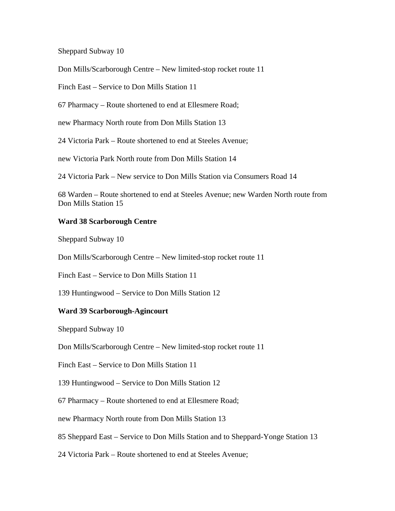Sheppard Subway 10

Don Mills/Scarborough Centre – New limited-stop rocket route 11

Finch East – Service to Don Mills Station 11

67 Pharmacy – Route shortened to end at Ellesmere Road;

new Pharmacy North route from Don Mills Station 13

24 Victoria Park – Route shortened to end at Steeles Avenue;

new Victoria Park North route from Don Mills Station 14

24 Victoria Park – New service to Don Mills Station via Consumers Road 14

68 Warden – Route shortened to end at Steeles Avenue; new Warden North route from Don Mills Station 15

### **Ward 38 Scarborough Centre**

Sheppard Subway 10

Don Mills/Scarborough Centre – New limited-stop rocket route 11

Finch East – Service to Don Mills Station 11

139 Huntingwood – Service to Don Mills Station 12

#### **Ward 39 Scarborough-Agincourt**

Sheppard Subway 10

Don Mills/Scarborough Centre – New limited-stop rocket route 11

Finch East – Service to Don Mills Station 11

139 Huntingwood – Service to Don Mills Station 12

67 Pharmacy – Route shortened to end at Ellesmere Road;

new Pharmacy North route from Don Mills Station 13

85 Sheppard East – Service to Don Mills Station and to Sheppard-Yonge Station 13

24 Victoria Park – Route shortened to end at Steeles Avenue;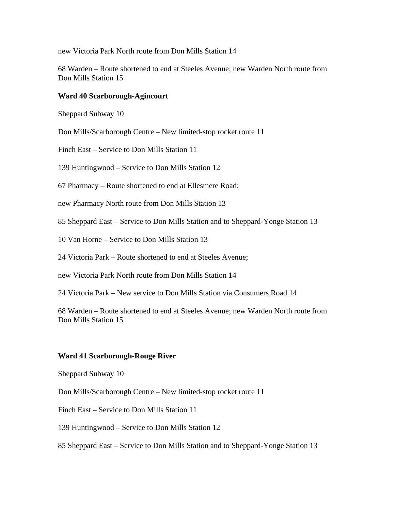new Victoria Park North route from Don Mills Station 14

68 Warden – Route shortened to end at Steeles Avenue; new Warden North route from Don Mills Station 15

#### **Ward 40 Scarborough-Agincourt**

Sheppard Subway 10

Don Mills/Scarborough Centre – New limited-stop rocket route 11

Finch East – Service to Don Mills Station 11

139 Huntingwood – Service to Don Mills Station 12

67 Pharmacy – Route shortened to end at Ellesmere Road;

new Pharmacy North route from Don Mills Station 13

85 Sheppard East – Service to Don Mills Station and to Sheppard-Yonge Station 13

10 Van Horne – Service to Don Mills Station 13

24 Victoria Park – Route shortened to end at Steeles Avenue;

new Victoria Park North route from Don Mills Station 14

24 Victoria Park – New service to Don Mills Station via Consumers Road 14

68 Warden – Route shortened to end at Steeles Avenue; new Warden North route from Don Mills Station 15

#### **Ward 41 Scarborough-Rouge River**

Sheppard Subway 10

Don Mills/Scarborough Centre – New limited-stop rocket route 11

Finch East – Service to Don Mills Station 11

139 Huntingwood – Service to Don Mills Station 12

85 Sheppard East – Service to Don Mills Station and to Sheppard-Yonge Station 13